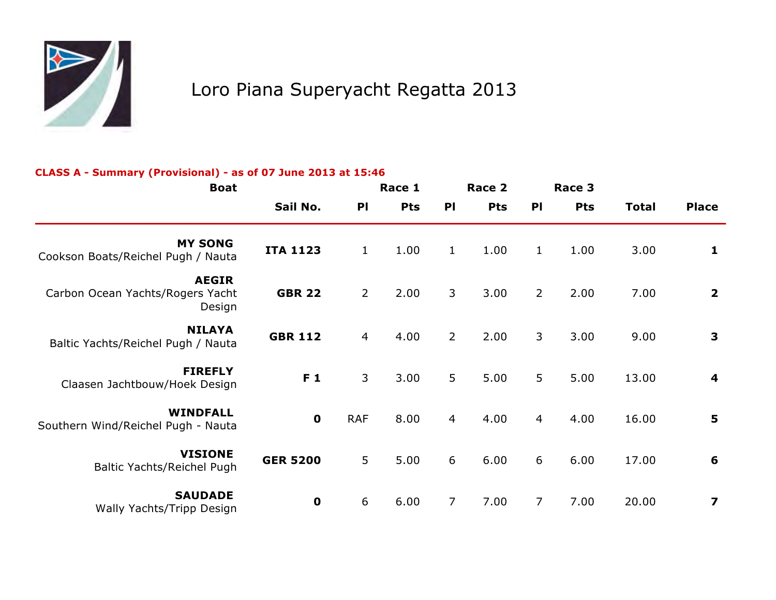

# Loro Piana Superyacht Regatta 2013

#### **CLASS A - Summary (Provisional) - as of 07 June 2013 at 15:46**

| <b>Boat</b>                                                |                 |                | Race 1     |                | Race 2     |                | Race 3     |              |                         |
|------------------------------------------------------------|-----------------|----------------|------------|----------------|------------|----------------|------------|--------------|-------------------------|
|                                                            | Sail No.        | P <sub>1</sub> | <b>Pts</b> | PI             | <b>Pts</b> | PI             | <b>Pts</b> | <b>Total</b> | <b>Place</b>            |
| <b>MY SONG</b><br>Cookson Boats/Reichel Pugh / Nauta       | <b>ITA 1123</b> | $\mathbf{1}$   | 1.00       | $\mathbf{1}$   | 1.00       | $\mathbf{1}$   | 1.00       | 3.00         | 1                       |
| <b>AEGIR</b><br>Carbon Ocean Yachts/Rogers Yacht<br>Design | <b>GBR 22</b>   | $\overline{2}$ | 2.00       | $\mathsf{3}$   | 3.00       | $\overline{2}$ | 2.00       | 7.00         | $\overline{\mathbf{2}}$ |
| <b>NILAYA</b><br>Baltic Yachts/Reichel Pugh / Nauta        | <b>GBR 112</b>  | $\overline{4}$ | 4.00       | $\overline{2}$ | 2.00       | 3              | 3.00       | 9.00         | $\mathbf{3}$            |
| <b>FIREFLY</b><br>Claasen Jachtbouw/Hoek Design            | F 1             | 3              | 3.00       | 5              | 5.00       | 5              | 5.00       | 13.00        | $\overline{\mathbf{4}}$ |
| <b>WINDFALL</b><br>Southern Wind/Reichel Pugh - Nauta      | $\mathbf 0$     | <b>RAF</b>     | 8.00       | $\overline{4}$ | 4.00       | $\overline{4}$ | 4.00       | 16.00        | 5                       |
| <b>VISIONE</b><br>Baltic Yachts/Reichel Pugh               | <b>GER 5200</b> | 5              | 5.00       | 6              | 6.00       | 6              | 6.00       | 17.00        | 6                       |
| <b>SAUDADE</b><br>Wally Yachts/Tripp Design                | $\mathbf 0$     | 6              | 6.00       | $\overline{7}$ | 7.00       | $\overline{7}$ | 7.00       | 20.00        | $\overline{\mathbf{z}}$ |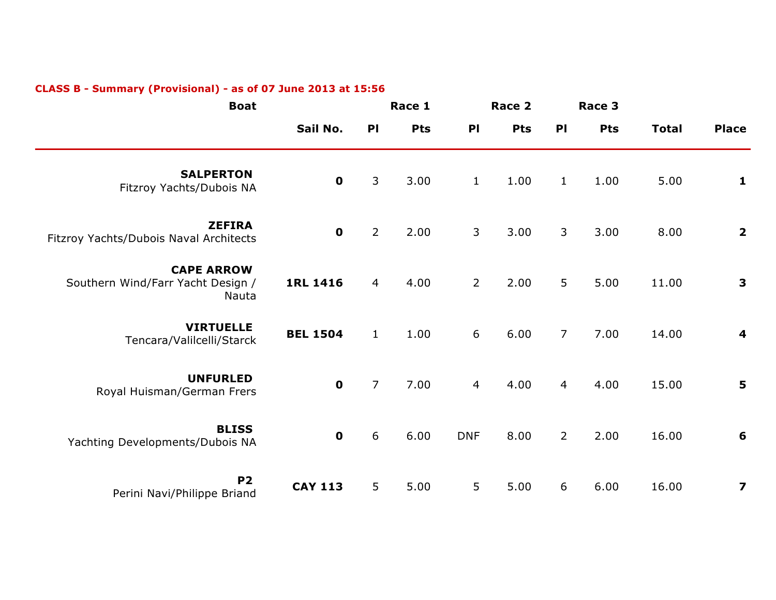| <b>Boat</b>                                                     |                 | Race 1           |            |                | Race 2     |                | Race 3     |              |                         |
|-----------------------------------------------------------------|-----------------|------------------|------------|----------------|------------|----------------|------------|--------------|-------------------------|
|                                                                 | Sail No.        | P <sub>1</sub>   | <b>Pts</b> | P              | <b>Pts</b> | P <sub>1</sub> | <b>Pts</b> | <b>Total</b> | <b>Place</b>            |
| <b>SALPERTON</b><br>Fitzroy Yachts/Dubois NA                    | $\mathbf 0$     | 3                | 3.00       | $\mathbf{1}$   | 1.00       | $\mathbf{1}$   | 1.00       | 5.00         | 1                       |
| <b>ZEFIRA</b><br>Fitzroy Yachts/Dubois Naval Architects         | $\mathbf 0$     | $\overline{2}$   | 2.00       | $\mathsf{3}$   | 3.00       | 3              | 3.00       | 8.00         | $\overline{\mathbf{2}}$ |
| <b>CAPE ARROW</b><br>Southern Wind/Farr Yacht Design /<br>Nauta | <b>1RL 1416</b> | $\overline{4}$   | 4.00       | $\overline{2}$ | 2.00       | 5              | 5.00       | 11.00        | $\mathbf{3}$            |
| <b>VIRTUELLE</b><br>Tencara/Valilcelli/Starck                   | <b>BEL 1504</b> | $\mathbf{1}$     | 1.00       | 6              | 6.00       | $\overline{7}$ | 7.00       | 14.00        | $\overline{\mathbf{4}}$ |
| <b>UNFURLED</b><br>Royal Huisman/German Frers                   | $\mathbf 0$     | $\overline{7}$   | 7.00       | $\overline{4}$ | 4.00       | $\overline{4}$ | 4.00       | 15.00        | 5                       |
| <b>BLISS</b><br>Yachting Developments/Dubois NA                 | $\mathbf 0$     | $\boldsymbol{6}$ | 6.00       | <b>DNF</b>     | 8.00       | $\overline{2}$ | 2.00       | 16.00        | 6                       |
| <b>P2</b><br>Perini Navi/Philippe Briand                        | <b>CAY 113</b>  | 5                | 5.00       | 5              | 5.00       | 6              | 6.00       | 16.00        | $\overline{\mathbf{z}}$ |

## **CLASS B - Summary (Provisional) - as of 07 June 2013 at 15:56**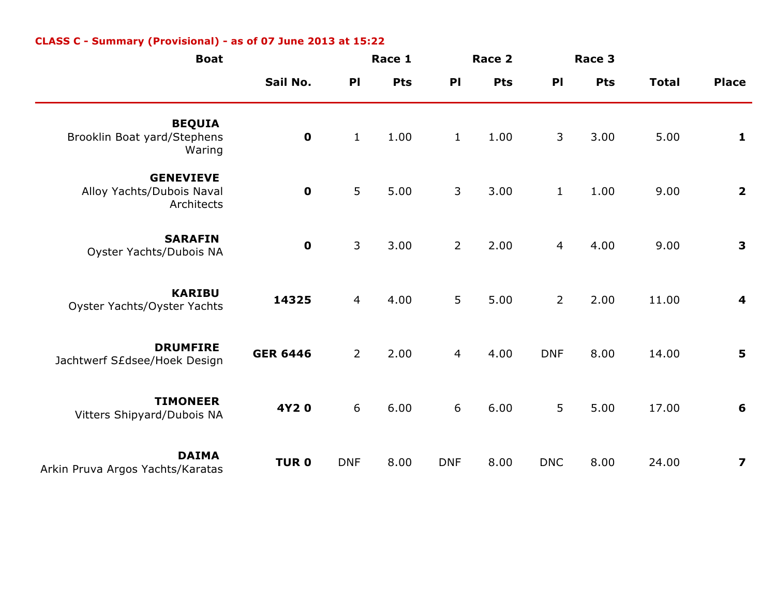| <b>Boat</b>                                                 |                 |                | Race 1     |                | Race 2     | Race 3         |            |              |                         |
|-------------------------------------------------------------|-----------------|----------------|------------|----------------|------------|----------------|------------|--------------|-------------------------|
|                                                             | Sail No.        | P <sub>1</sub> | <b>Pts</b> | P <sub>1</sub> | <b>Pts</b> | P <sub>1</sub> | <b>Pts</b> | <b>Total</b> | <b>Place</b>            |
| <b>BEQUIA</b><br>Brooklin Boat yard/Stephens<br>Waring      | $\mathbf 0$     | $\mathbf 1$    | 1.00       | $\mathbf{1}$   | 1.00       | $\mathsf{3}$   | 3.00       | 5.00         | $\mathbf{1}$            |
| <b>GENEVIEVE</b><br>Alloy Yachts/Dubois Naval<br>Architects | $\mathbf 0$     | 5              | 5.00       | 3              | 3.00       | $\mathbf{1}$   | 1.00       | 9.00         | $\overline{\mathbf{2}}$ |
| <b>SARAFIN</b><br>Oyster Yachts/Dubois NA                   | $\mathbf 0$     | $\mathsf{3}$   | 3.00       | $\overline{2}$ | 2.00       | $\overline{4}$ | 4.00       | 9.00         | $\mathbf{3}$            |
| <b>KARIBU</b><br>Oyster Yachts/Oyster Yachts                | 14325           | $\overline{4}$ | 4.00       | 5              | 5.00       | $2^{\circ}$    | 2.00       | 11.00        | $\overline{\mathbf{4}}$ |
| <b>DRUMFIRE</b><br>Jachtwerf S£dsee/Hoek Design             | <b>GER 6446</b> | $\overline{2}$ | 2.00       | $\overline{4}$ | 4.00       | <b>DNF</b>     | 8.00       | 14.00        | 5                       |
| <b>TIMONEER</b><br>Vitters Shipyard/Dubois NA               | 4Y20            | 6              | 6.00       | 6              | 6.00       | 5              | 5.00       | 17.00        | 6                       |
| <b>DAIMA</b><br>Arkin Pruva Argos Yachts/Karatas            | <b>TURO</b>     | <b>DNF</b>     | 8.00       | <b>DNF</b>     | 8.00       | <b>DNC</b>     | 8.00       | 24.00        | $\overline{\mathbf{z}}$ |

## **CLASS C - Summary (Provisional) - as of 07 June 2013 at 15:22**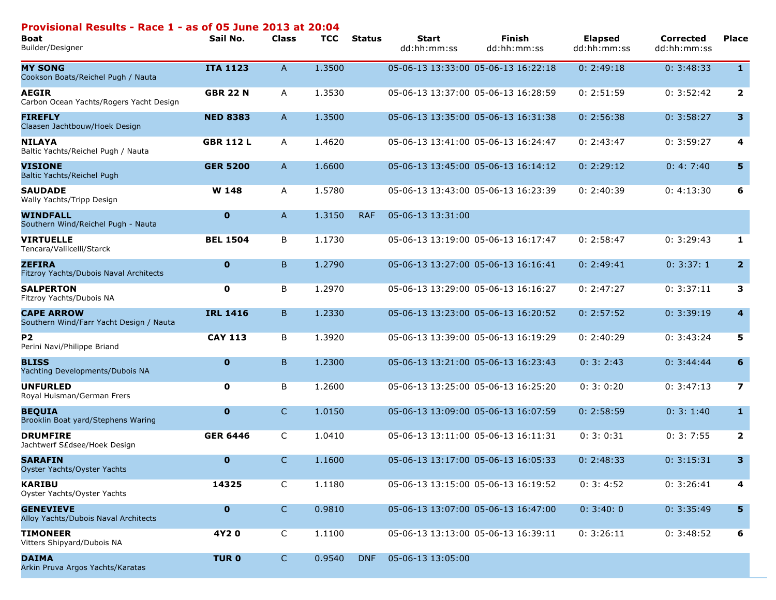| Provisional Results - Race 1 - as of 05 June 2013 at 20:04<br><b>Boat</b><br>Builder/Designer | Sail No.         | <b>Class</b> | <b>TCC</b> | <b>Status</b> | <b>Start</b><br>dd:hh:mm:ss | <b>Finish</b><br>dd:hh:mm:ss        | <b>Elapsed</b><br>dd:hh:mm:ss | <b>Corrected</b><br>dd:hh:mm:ss | <b>Place</b>            |
|-----------------------------------------------------------------------------------------------|------------------|--------------|------------|---------------|-----------------------------|-------------------------------------|-------------------------------|---------------------------------|-------------------------|
| <b>MY SONG</b><br>Cookson Boats/Reichel Pugh / Nauta                                          | <b>ITA 1123</b>  | $\mathsf{A}$ | 1.3500     |               |                             | 05-06-13 13:33:00 05-06-13 16:22:18 | 0: 2:49:18                    | 0: 3:48:33                      | $\mathbf{1}$            |
| <b>AEGIR</b><br>Carbon Ocean Yachts/Rogers Yacht Design                                       | <b>GBR 22 N</b>  | Α            | 1.3530     |               |                             | 05-06-13 13:37:00 05-06-13 16:28:59 | 0: 2:51:59                    | 0: 3:52:42                      | $\overline{2}$          |
| <b>FIREFLY</b><br>Claasen Jachtbouw/Hoek Design                                               | <b>NED 8383</b>  | $\mathsf{A}$ | 1.3500     |               |                             | 05-06-13 13:35:00 05-06-13 16:31:38 | 0: 2:56:38                    | 0: 3:58:27                      | 3 <sup>1</sup>          |
| <b>NILAYA</b><br>Baltic Yachts/Reichel Pugh / Nauta                                           | <b>GBR 112 L</b> | A            | 1.4620     |               |                             | 05-06-13 13:41:00 05-06-13 16:24:47 | 0: 2:43:47                    | 0: 3:59:27                      | 4                       |
| <b>VISIONE</b><br>Baltic Yachts/Reichel Pugh                                                  | <b>GER 5200</b>  | $\mathsf{A}$ | 1.6600     |               |                             | 05-06-13 13:45:00 05-06-13 16:14:12 | 0: 2:29:12                    | 0: 4: 7:40                      | 5                       |
| <b>SAUDADE</b><br>Wally Yachts/Tripp Design                                                   | W 148            | A            | 1.5780     |               |                             | 05-06-13 13:43:00 05-06-13 16:23:39 | 0: 2:40:39                    | 0: 4:13:30                      | 6                       |
| <b>WINDFALL</b><br>Southern Wind/Reichel Pugh - Nauta                                         | $\mathbf 0$      | A            | 1.3150     | <b>RAF</b>    | 05-06-13 13:31:00           |                                     |                               |                                 |                         |
| <b>VIRTUELLE</b><br>Tencara/Valilcelli/Starck                                                 | <b>BEL 1504</b>  | B            | 1.1730     |               |                             | 05-06-13 13:19:00 05-06-13 16:17:47 | 0: 2:58:47                    | 0: 3:29:43                      | 1                       |
| <b>ZEFIRA</b><br>Fitzroy Yachts/Dubois Naval Architects                                       | $\mathbf 0$      | B            | 1.2790     |               |                             | 05-06-13 13:27:00 05-06-13 16:16:41 | 0: 2:49:41                    | 0: 3:37:1                       | 2 <sup>1</sup>          |
| <b>SALPERTON</b><br>Fitzroy Yachts/Dubois NA                                                  | 0                | В            | 1.2970     |               |                             | 05-06-13 13:29:00 05-06-13 16:16:27 | 0: 2:47:27                    | 0: 3:37:11                      | 3                       |
| <b>CAPE ARROW</b><br>Southern Wind/Farr Yacht Design / Nauta                                  | <b>IRL 1416</b>  | B.           | 1.2330     |               |                             | 05-06-13 13:23:00 05-06-13 16:20:52 | 0: 2:57:52                    | 0: 3:39:19                      | $\overline{\mathbf{4}}$ |
| <b>P2</b><br>Perini Navi/Philippe Briand                                                      | <b>CAY 113</b>   | B            | 1.3920     |               |                             | 05-06-13 13:39:00 05-06-13 16:19:29 | 0: 2:40:29                    | 0: 3:43:24                      | 5                       |
| <b>BLISS</b><br>Yachting Developments/Dubois NA                                               | $\mathbf 0$      | B            | 1.2300     |               |                             | 05-06-13 13:21:00 05-06-13 16:23:43 | 0: 3: 2:43                    | 0: 3:44:44                      | 6                       |
| <b>UNFURLED</b><br>Royal Huisman/German Frers                                                 | 0                | В            | 1.2600     |               |                             | 05-06-13 13:25:00 05-06-13 16:25:20 | 0: 3: 0:20                    | 0: 3:47:13                      | $\overline{\mathbf{z}}$ |
| <b>BEQUIA</b><br>Brooklin Boat yard/Stephens Waring                                           | $\mathbf 0$      | $\mathsf{C}$ | 1.0150     |               |                             | 05-06-13 13:09:00 05-06-13 16:07:59 | 0: 2:58:59                    | 0: 3: 1:40                      | $\mathbf{1}$            |
| <b>DRUMFIRE</b><br>Jachtwerf S£dsee/Hoek Design                                               | <b>GER 6446</b>  | C            | 1.0410     |               |                             | 05-06-13 13:11:00 05-06-13 16:11:31 | 0: 3: 0:31                    | 0:3:7:55                        | $\overline{2}$          |
| <b>SARAFIN</b><br>Oyster Yachts/Oyster Yachts                                                 | $\mathbf{0}$     | C            | 1.1600     |               |                             | 05-06-13 13:17:00 05-06-13 16:05:33 | 0: 2:48:33                    | 0: 3:15:31                      | 3                       |
| <b>KARIBU</b><br>Oyster Yachts/Oyster Yachts                                                  | 14325            | $\mathsf{C}$ | 1.1180     |               |                             | 05-06-13 13:15:00 05-06-13 16:19:52 | 0: 3: 4:52                    | 0: 3:26:41                      | 4                       |
| <b>GENEVIEVE</b><br>Alloy Yachts/Dubois Naval Architects                                      | $\mathbf 0$      | $\mathsf{C}$ | 0.9810     |               |                             | 05-06-13 13:07:00 05-06-13 16:47:00 | 0: 3:40:0                     | 0: 3:35:49                      | 5                       |
| <b>TIMONEER</b><br>Vitters Shipyard/Dubois NA                                                 | 4Y20             | C            | 1.1100     |               |                             | 05-06-13 13:13:00 05-06-13 16:39:11 | 0: 3:26:11                    | 0: 3:48:52                      | 6                       |
| <b>DAIMA</b><br>Arkin Pruva Argos Yachts/Karatas                                              | <b>TURO</b>      | $\mathsf{C}$ | 0.9540     | <b>DNF</b>    | 05-06-13 13:05:00           |                                     |                               |                                 |                         |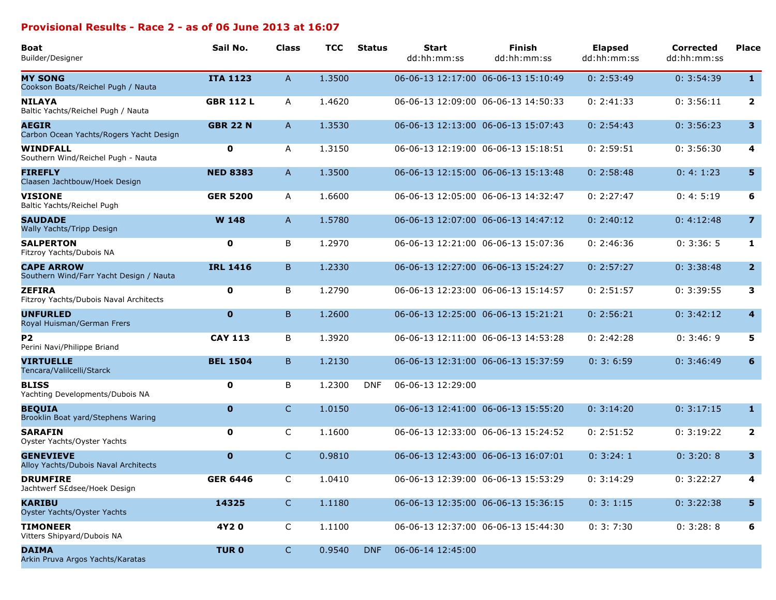#### **Provisional Results - Race 2 - as of 06 June 2013 at 16:07**

| <b>Boat</b><br>Builder/Designer                              | Sail No.         | <b>Class</b> | <b>TCC</b> | <b>Status</b> | <b>Start</b><br>dd:hh:mm:ss | <b>Finish</b><br>dd:hh:mm:ss        | <b>Elapsed</b><br>dd:hh:mm:ss | <b>Corrected</b><br>dd:hh:mm:ss | <b>Place</b>            |
|--------------------------------------------------------------|------------------|--------------|------------|---------------|-----------------------------|-------------------------------------|-------------------------------|---------------------------------|-------------------------|
| <b>MY SONG</b><br>Cookson Boats/Reichel Pugh / Nauta         | <b>ITA 1123</b>  | A            | 1.3500     |               |                             | 06-06-13 12:17:00 06-06-13 15:10:49 | 0: 2:53:49                    | 0: 3:54:39                      | $\mathbf{1}$            |
| <b>NILAYA</b><br>Baltic Yachts/Reichel Pugh / Nauta          | <b>GBR 112 L</b> | A            | 1.4620     |               |                             | 06-06-13 12:09:00 06-06-13 14:50:33 | 0: 2:41:33                    | 0: 3:56:11                      | $\overline{\mathbf{2}}$ |
| <b>AEGIR</b><br>Carbon Ocean Yachts/Rogers Yacht Design      | <b>GBR 22 N</b>  | A            | 1.3530     |               |                             | 06-06-13 12:13:00 06-06-13 15:07:43 | 0: 2:54:43                    | 0: 3:56:23                      | $\mathbf{3}$            |
| <b>WINDFALL</b><br>Southern Wind/Reichel Pugh - Nauta        | 0                | A            | 1.3150     |               |                             | 06-06-13 12:19:00 06-06-13 15:18:51 | 0: 2:59:51                    | 0: 3:56:30                      | $\overline{4}$          |
| <b>FIREFLY</b><br>Claasen Jachtbouw/Hoek Design              | <b>NED 8383</b>  | A            | 1.3500     |               |                             | 06-06-13 12:15:00 06-06-13 15:13:48 | 0: 2:58:48                    | 0: 4: 1:23                      | 5 <sub>5</sub>          |
| <b>VISIONE</b><br>Baltic Yachts/Reichel Pugh                 | <b>GER 5200</b>  | A            | 1.6600     |               |                             | 06-06-13 12:05:00 06-06-13 14:32:47 | 0: 2:27:47                    | 0: 4: 5:19                      | 6                       |
| <b>SAUDADE</b><br>Wally Yachts/Tripp Design                  | W 148            | A            | 1.5780     |               |                             | 06-06-13 12:07:00 06-06-13 14:47:12 | 0: 2:40:12                    | 0: 4:12:48                      | $\overline{7}$          |
| <b>SALPERTON</b><br>Fitzroy Yachts/Dubois NA                 | 0                | B            | 1.2970     |               |                             | 06-06-13 12:21:00 06-06-13 15:07:36 | 0: 2:46:36                    | 0: 3:36: 5                      | 1                       |
| <b>CAPE ARROW</b><br>Southern Wind/Farr Yacht Design / Nauta | <b>IRL 1416</b>  | B            | 1.2330     |               |                             | 06-06-13 12:27:00 06-06-13 15:24:27 | 0: 2:57:27                    | 0: 3:38:48                      | $\overline{2}$          |
| <b>ZEFIRA</b><br>Fitzroy Yachts/Dubois Naval Architects      | 0                | B            | 1.2790     |               |                             | 06-06-13 12:23:00 06-06-13 15:14:57 | 0: 2:51:57                    | 0: 3:39:55                      | 3                       |
| <b>UNFURLED</b><br>Royal Huisman/German Frers                | $\mathbf 0$      | B.           | 1.2600     |               |                             | 06-06-13 12:25:00 06-06-13 15:21:21 | 0: 2:56:21                    | 0: 3:42:12                      | $\overline{\mathbf{4}}$ |
| P <sub>2</sub><br>Perini Navi/Philippe Briand                | <b>CAY 113</b>   | B            | 1.3920     |               |                             | 06-06-13 12:11:00 06-06-13 14:53:28 | 0: 2:42:28                    | 0: 3:46:9                       | 5                       |
| <b>VIRTUELLE</b><br>Tencara/Valilcelli/Starck                | <b>BEL 1504</b>  | B            | 1.2130     |               |                             | 06-06-13 12:31:00 06-06-13 15:37:59 | 0: 3: 6:59                    | 0: 3:46:49                      | 6                       |
| <b>BLISS</b><br>Yachting Developments/Dubois NA              | 0                | B            | 1.2300     | <b>DNF</b>    | 06-06-13 12:29:00           |                                     |                               |                                 |                         |
| <b>BEQUIA</b><br>Brooklin Boat yard/Stephens Waring          | $\mathbf 0$      | C            | 1.0150     |               |                             | 06-06-13 12:41:00 06-06-13 15:55:20 | 0: 3:14:20                    | 0: 3:17:15                      | $\mathbf{1}$            |
| <b>SARAFIN</b><br>Oyster Yachts/Oyster Yachts                | 0                | C            | 1.1600     |               |                             | 06-06-13 12:33:00 06-06-13 15:24:52 | 0: 2:51:52                    | 0: 3:19:22                      | $\overline{\mathbf{2}}$ |
| <b>GENEVIEVE</b><br>Alloy Yachts/Dubois Naval Architects     | $\mathbf 0$      | $\mathsf{C}$ | 0.9810     |               |                             | 06-06-13 12:43:00 06-06-13 16:07:01 | 0: 3:24:1                     | 0: 3:20: 8                      | 3                       |
| <b>DRUMFIRE</b><br>Jachtwerf S£dsee/Hoek Design              | <b>GER 6446</b>  | C            | 1.0410     |               |                             | 06-06-13 12:39:00 06-06-13 15:53:29 | 0: 3:14:29                    | 0: 3:22:27                      | 4                       |
| <b>KARIBU</b><br>Oyster Yachts/Oyster Yachts                 | 14325            | C.           | 1.1180     |               |                             | 06-06-13 12:35:00 06-06-13 15:36:15 | 0: 3: 1:15                    | 0: 3:22:38                      | 5                       |
| <b>TIMONEER</b><br>Vitters Shipyard/Dubois NA                | 4Y20             | C            | 1.1100     |               |                             | 06-06-13 12:37:00 06-06-13 15:44:30 | 0: 3: 7:30                    | 0: 3:28: 8                      | 6                       |
| <b>DAIMA</b><br>Arkin Pruva Argos Yachts/Karatas             | <b>TURO</b>      | $\mathsf{C}$ | 0.9540     | <b>DNF</b>    | 06-06-14 12:45:00           |                                     |                               |                                 |                         |